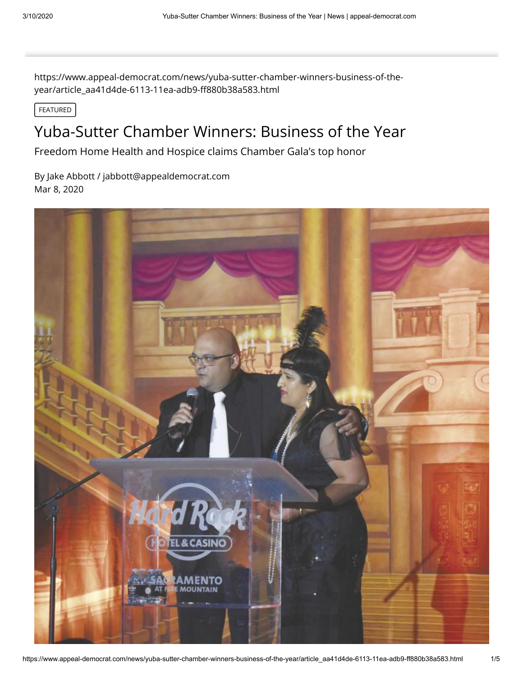https://www.appeal-democrat.com/news/yuba-sutter-chamber-winners-business-of-theyear/article\_aa41d4de-6113-11ea-adb9-ff880b38a583.html

FEATURED

# Yuba-Sutter Chamber Winners: Business of the Year

Freedom Home Health and Hospice claims Chamber Gala's top honor

By Jake Abbott / jabbott@appealdemocrat.com Mar 8, 2020

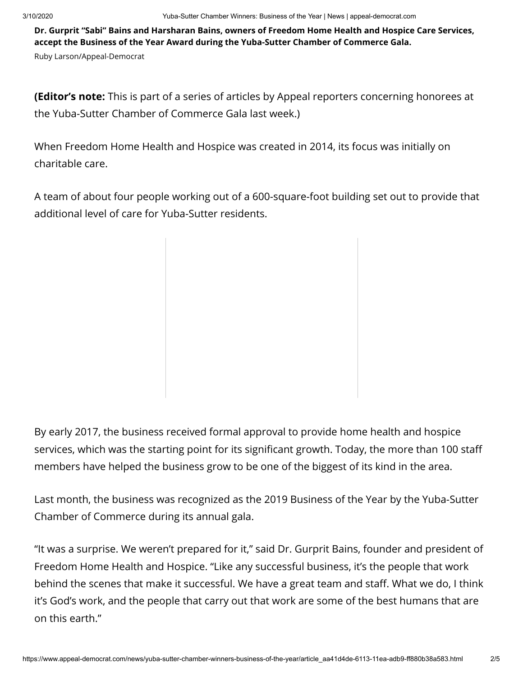**Dr. Gurprit "Sabi" Bains and Harsharan Bains, owners of Freedom Home Health and Hospice Care Services, accept the Business of the Year Award during the Yuba-Sutter Chamber of Commerce Gala.**

Ruby Larson/Appeal-Democrat

**(Editor's note:** This is part of a series of articles by Appeal reporters concerning honorees at the Yuba-Sutter Chamber of Commerce Gala last week.)

When Freedom Home Health and Hospice was created in 2014, its focus was initially on charitable care.

A team of about four people working out of a 600-square-foot building set out to provide that additional level of care for Yuba-Sutter residents.



By early 2017, the business received formal approval to provide home health and hospice services, which was the starting point for its significant growth. Today, the more than 100 staff members have helped the business grow to be one of the biggest of its kind in the area.

Last month, the business was recognized as the 2019 Business of the Year by the Yuba-Sutter Chamber of Commerce during its annual gala.

"It was a surprise. We weren't prepared for it," said Dr. Gurprit Bains, founder and president of Freedom Home Health and Hospice. "Like any successful business, it's the people that work behind the scenes that make it successful. We have a great team and staff. What we do, I think it's God's work, and the people that carry out that work are some of the best humans that are on this earth."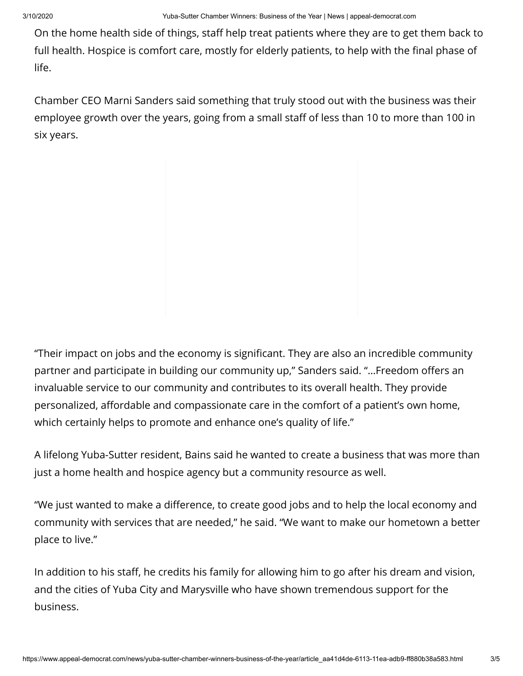On the home health side of things, staff help treat patients where they are to get them back to full health. Hospice is comfort care, mostly for elderly patients, to help with the final phase of life.

Chamber CEO Marni Sanders said something that truly stood out with the business was their employee growth over the years, going from a small staff of less than 10 to more than 100 in six years.



"Their impact on jobs and the economy is signicant. They are also an incredible community partner and participate in building our community up," Sanders said. "...Freedom offers an invaluable service to our community and contributes to its overall health. They provide personalized, affordable and compassionate care in the comfort of a patient's own home, which certainly helps to promote and enhance one's quality of life."

A lifelong Yuba-Sutter resident, Bains said he wanted to create a business that was more than just a home health and hospice agency but a community resource as well.

"We just wanted to make a difference, to create good jobs and to help the local economy and community with services that are needed," he said. "We want to make our hometown a better place to live."

In addition to his staff, he credits his family for allowing him to go after his dream and vision, and the cities of Yuba City and Marysville who have shown tremendous support for the business.